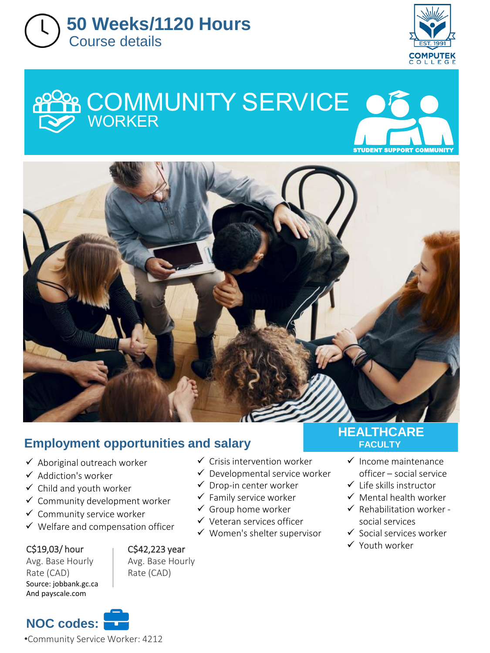



# **COMMUNITY SERVICE** W STUDENT SUPPORT COM



# **Employment opportunities and salary**

- $\checkmark$  Aboriginal outreach worker
- ✓ Addiction's worker
- $\checkmark$  Child and youth worker
- ✓ Community development worker
- ✓ Community service worker
- ✓ Welfare and compensation officer

### C\$19,03/ hour

Avg. Base Hourly Rate (CAD) Source: jobbank.gc.ca And payscale.com



- ✓ Crisis intervention worker
- $\checkmark$  Developmental service worker
- $\checkmark$  Drop-in center worker
- $\checkmark$  Family service worker
- $\checkmark$  Group home worker
- ✓ Veteran services officer
- ✓ Women's shelter supervisor

## **HEALTHCARE FACULTY**

- ✓ Income maintenance officer – social service
- ✓ Life skills instructor
- $\checkmark$  Mental health worker
- $\checkmark$  Rehabilitation worker social services
- ✓ Social services worker
- $C$ \$42,223 year  $\checkmark$  Youth worker

**NOC codes:** •Community Service Worker: 4212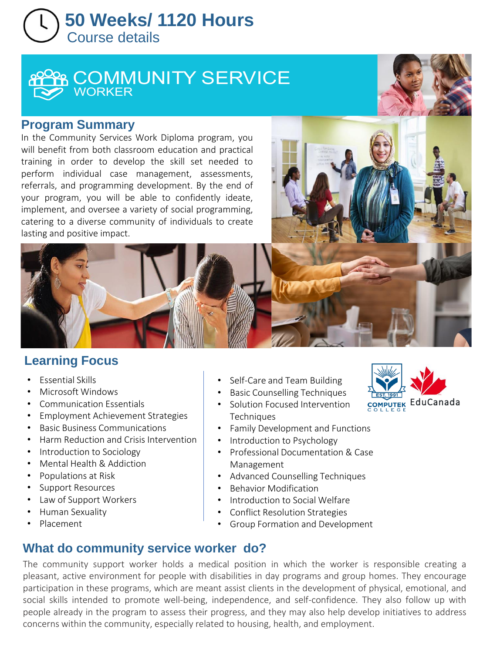# **50 Weeks/ 1120 Hours**  Course details



## **Program Summary**

In the Community Services Work Diploma program, you will benefit from both classroom education and practical training in order to develop the skill set needed to perform individual case management, assessments, referrals, and programming development. By the end of your program, you will be able to confidently ideate, implement, and oversee a variety of social programming, catering to a diverse community of individuals to create lasting and positive impact.



## **Learning Focus**

- Essential Skills
- Microsoft Windows
- Communication Essentials
- Employment Achievement Strategies
- Basic Business Communications
- Harm Reduction and Crisis Intervention
- Introduction to Sociology
- Mental Health & Addiction
- Populations at Risk
- Support Resources
- Law of Support Workers
- Human Sexuality
- Placement
- Self-Care and Team Building
- Basic Counselling Techniques
- Solution Focused Intervention **Techniques**
- Family Development and Functions
- Introduction to Psychology
- Professional Documentation & Case Management
- Advanced Counselling Techniques
- Behavior Modification
- Introduction to Social Welfare
- Conflict Resolution Strategies
- Group Formation and Development

# **What do community service worker do?**

The community support worker holds a medical position in which the worker is responsible creating a pleasant, active environment for people with disabilities in day programs and group homes. They encourage participation in these programs, which are meant assist clients in the development of physical, emotional, and social skills intended to promote well-being, independence, and self-confidence. They also follow up with people already in the program to assess their progress, and they may also help develop initiatives to address concerns within the community, especially related to housing, health, and employment.

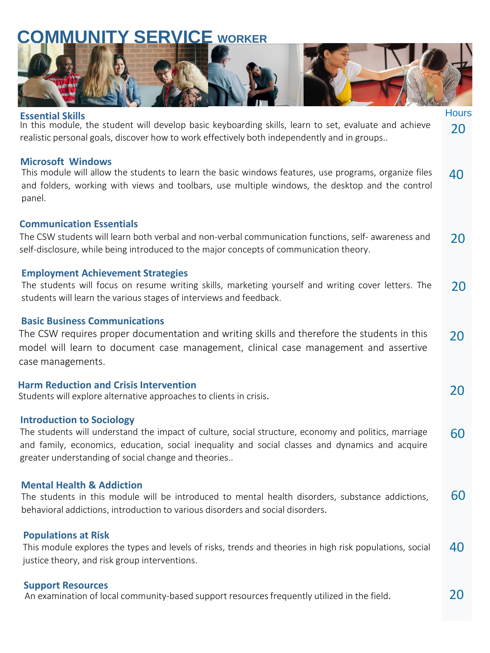# **MUNITY SERVICE WORKER**



**Hours** 

20

20

20

#### **Essential Skills**

In this module, the student will develop basic keyboarding skills, learn to set, evaluate and achieve realistic personal goals, discover how to work effectively both independently and in groups..

#### **Microsoft Windows**

This module will allow the students to learn the basic windows features, use programs, organize files and folders, working with views and toolbars, use multiple windows, the desktop and the control panel.  $\Delta$ 

#### **Communication Essentials**

The CSW students will learn both verbal and non-verbal communication functions, self- awareness and self-disclosure, while being introduced to the major concepts of communication theory. 20

#### **Employment Achievement Strategies**

The students will focus on resume writing skills, marketing yourself and writing cover letters. The students will learn the various stages of interviews and feedback. 20

#### **Basic Business Communications**

The CSW requires proper documentation and writing skills and therefore the students in this model will learn to document case management, clinical case management and assertive case managements. 20

#### **Harm Reduction and Crisis Intervention**

Students will explore alternative approaches to clients in crisis.

#### **Introduction to Sociology**

The students will understand the impact of culture, social structure, economy and politics, marriage and family, economics, education, social inequality and social classes and dynamics and acquire greater understanding of social change and theories.. 60

#### **Mental Health & Addiction**

60 The students in this module will be introduced to mental health disorders, substance addictions, behavioral addictions, introduction to various disorders and social disorders.

#### **Populations at Risk**

This module explores the types and levels of risks, trends and theories in high risk populations, social justice theory, and risk group interventions. 40

#### **Support Resources**

An examination of local community-based support resources frequently utilized in the field.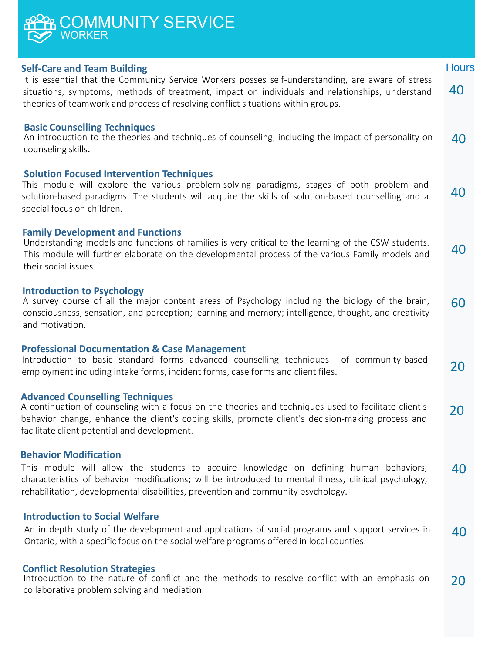## **Self-Care and Team Building** It is essential that the Community Service Workers posses self-understanding, are aware of stress situations, symptoms, methods of treatment, impact on individuals and relationships, understand theories of teamwork and process of resolving conflict situations within groups. 40 40 **Hours** An introduction to the theories and techniques of counseling, including the impact of personality on counseling skills. **Family Development and Functions Basic Counselling Techniques Solution Focused Intervention Techniques** This module will explore the various problem-solving paradigms, stages of both problem and solution-based paradigms. The students will acquire the skills of solution-based counselling and a special focus on children. **COMMUNITY WORKER** 40

40 Understanding models and functions of families is very critical to the learning of the CSW students. This module will further elaborate on the developmental process of the various Family models and their social issues.

#### **Introduction to Psychology**

60 A survey course of all the major content areas of Psychology including the biology of the brain, consciousness, sensation, and perception; learning and memory; intelligence, thought, and creativity and motivation.

#### **Professional Documentation & Case Management**

Introduction to basic standard forms advanced counselling techniques of community-based employment including intake forms, incident forms, case forms and client files. 20

#### **Advanced Counselling Techniques**

A continuation of counseling with a focus on the theories and techniques used to facilitate client's behavior change, enhance the client's coping skills, promote client's decision-making process and facilitate client potential and development. 20

#### **Behavior Modification**

40 This module will allow the students to acquire knowledge on defining human behaviors, characteristics of behavior modifications; will be introduced to mental illness, clinical psychology, rehabilitation, developmental disabilities, prevention and community psychology.

#### **Introduction to Social Welfare**

40 An in depth study of the development and applications of social programs and support services in Ontario, with a specific focus on the social welfare programs offered in local counties.

#### **Conflict Resolution Strategies**

20 Introduction to the nature of conflict and the methods to resolve conflict with an emphasis on collaborative problem solving and mediation.